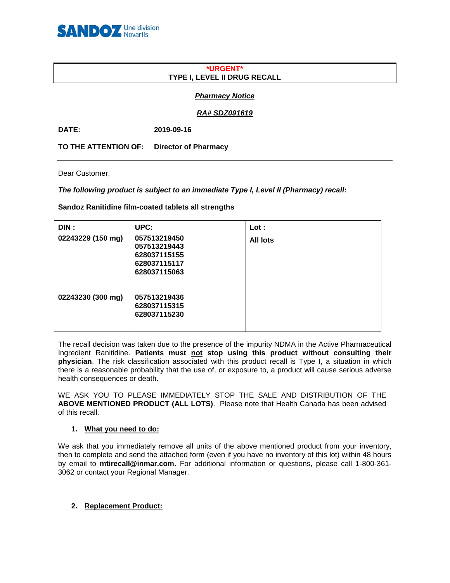

# **\*URGENT\* TYPE I, LEVEL II DRUG RECALL**

# *Pharmacy Notice*

# *RA# SDZ091619*

**DATE: 2019-09-16**

**TO THE ATTENTION OF: Director of Pharmacy**

Dear Customer,

#### *The following product is subject to an immediate Type I, Level II (Pharmacy) recall***:**

**Sandoz Ranitidine film-coated tablets all strengths**

| DIN :             | UPC:                                                                         | Lot:     |
|-------------------|------------------------------------------------------------------------------|----------|
| 02243229 (150 mg) | 057513219450<br>057513219443<br>628037115155<br>628037115117<br>628037115063 | All lots |
| 02243230 (300 mg) | 057513219436<br>628037115315<br>628037115230                                 |          |

The recall decision was taken due to the presence of the impurity NDMA in the Active Pharmaceutical Ingredient Ranitidine. **Patients must not stop using this product without consulting their physician**. The risk classification associated with this product recall is Type I, a situation in which there is a reasonable probability that the use of, or exposure to, a product will cause serious adverse health consequences or death.

WE ASK YOU TO PLEASE IMMEDIATELY STOP THE SALE AND DISTRIBUTION OF THE **ABOVE MENTIONED PRODUCT (ALL LOTS)**. Please note that Health Canada has been advised of this recall.

### **1. What you need to do:**

We ask that you immediately remove all units of the above mentioned product from your inventory, then to complete and send the attached form (even if you have no inventory of this lot) within 48 hours by email to **mtirecall@inmar.com.** For additional information or questions, please call 1-800-361- 3062 or contact your Regional Manager.

#### **2. Replacement Product:**